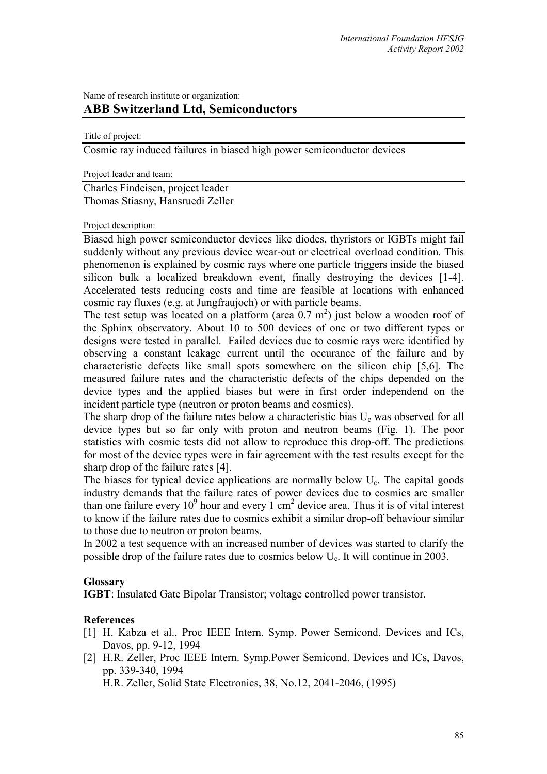## Name of research institute or organization: **ABB Switzerland Ltd, Semiconductors**

Title of project:

Cosmic ray induced failures in biased high power semiconductor devices

Project leader and team:

Charles Findeisen, project leader Thomas Stiasny, Hansruedi Zeller

Project description:

Biased high power semiconductor devices like diodes, thyristors or IGBTs might fail suddenly without any previous device wear-out or electrical overload condition. This phenomenon is explained by cosmic rays where one particle triggers inside the biased silicon bulk a localized breakdown event, finally destroying the devices [1-4]. Accelerated tests reducing costs and time are feasible at locations with enhanced cosmic ray fluxes (e.g. at Jungfraujoch) or with particle beams.

The test setup was located on a platform (area  $0.7 \text{ m}^2$ ) just below a wooden roof of the Sphinx observatory. About 10 to 500 devices of one or two different types or designs were tested in parallel. Failed devices due to cosmic rays were identified by observing a constant leakage current until the occurance of the failure and by characteristic defects like small spots somewhere on the silicon chip [5,6]. The measured failure rates and the characteristic defects of the chips depended on the device types and the applied biases but were in first order independend on the incident particle type (neutron or proton beams and cosmics).

The sharp drop of the failure rates below a characteristic bias  $U_c$  was observed for all device types but so far only with proton and neutron beams (Fig. 1). The poor statistics with cosmic tests did not allow to reproduce this drop-off. The predictions for most of the device types were in fair agreement with the test results except for the sharp drop of the failure rates [4].

The biases for typical device applications are normally below U<sub>c</sub>. The capital goods industry demands that the failure rates of power devices due to cosmics are smaller than one failure every  $10^9$  hour and every  $1 \text{ cm}^2$  device area. Thus it is of vital interest to know if the failure rates due to cosmics exhibit a similar drop-off behaviour similar to those due to neutron or proton beams.

In 2002 a test sequence with an increased number of devices was started to clarify the possible drop of the failure rates due to cosmics below  $U_c$ . It will continue in 2003.

## **Glossary**

**IGBT**: Insulated Gate Bipolar Transistor; voltage controlled power transistor.

## **References**

- [1] H. Kabza et al., Proc IEEE Intern. Symp. Power Semicond. Devices and ICs, Davos, pp. 9-12, 1994
- [2] H.R. Zeller, Proc IEEE Intern. Symp.Power Semicond. Devices and ICs, Davos, pp. 339-340, 1994

H.R. Zeller, Solid State Electronics, 38, No.12, 2041-2046, (1995)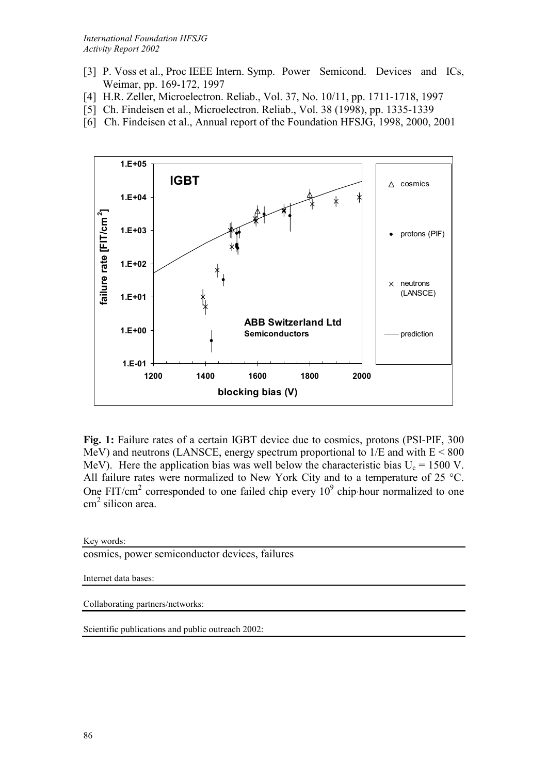- [3] P. Voss et al., Proc IEEE Intern. Symp. Power Semicond. Devices and ICs, Weimar, pp. 169-172, 1997
- [4] H.R. Zeller, Microelectron. Reliab., Vol. 37, No. 10/11, pp. 1711-1718, 1997
- [5] Ch. Findeisen et al., Microelectron. Reliab., Vol. 38 (1998), pp. 1335-1339
- [6] Ch. Findeisen et al., Annual report of the Foundation HFSJG, 1998, 2000, 2001



**Fig. 1:** Failure rates of a certain IGBT device due to cosmics, protons (PSI-PIF, 300 MeV) and neutrons (LANSCE, energy spectrum proportional to  $1/E$  and with  $E < 800$ MeV). Here the application bias was well below the characteristic bias  $U_c = 1500$  V. All failure rates were normalized to New York City and to a temperature of 25 °C. One FIT/cm<sup>2</sup> corresponded to one failed chip every  $10^9$  chip⋅hour normalized to one cm 2 silicon area.

Key words:

cosmics, power semiconductor devices, failures

Internet data bases:

Collaborating partners/networks:

Scientific publications and public outreach 2002: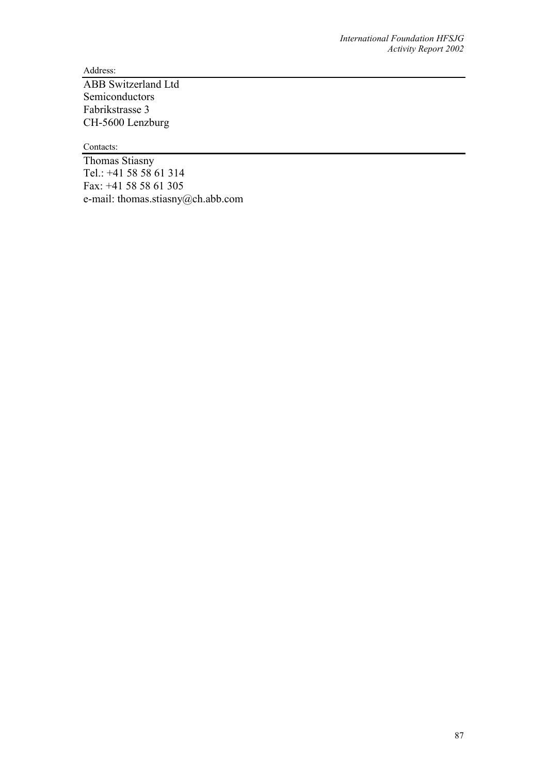Address:

ABB Switzerland Ltd Semiconductors Fabrikstrasse 3 CH-5600 Lenzburg

Contacts:

Thomas Stiasny Tel.: +41 58 58 61 314 Fax: +41 58 58 61 305 e-mail: thomas.stiasny@ch.abb.com